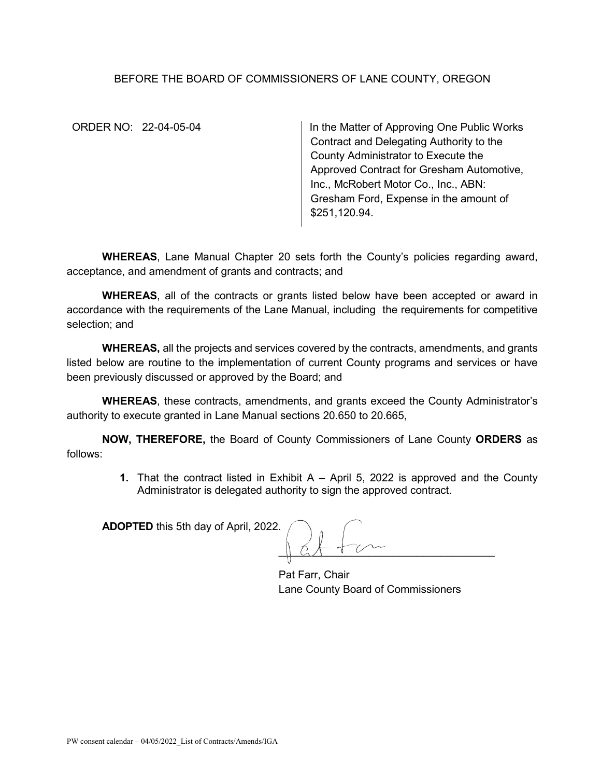## BEFORE THE BOARD OF COMMISSIONERS OF LANE COUNTY, OREGON

ORDER NO: 22-04-05-04 In the Matter of Approving One Public Works Contract and Delegating Authority to the County Administrator to Execute the Approved Contract for Gresham Automotive, Inc., McRobert Motor Co., Inc., ABN: Gresham Ford, Expense in the amount of \$251,120.94.

**WHEREAS**, Lane Manual Chapter 20 sets forth the County's policies regarding award, acceptance, and amendment of grants and contracts; and

**WHEREAS**, all of the contracts or grants listed below have been accepted or award in accordance with the requirements of the Lane Manual, including the requirements for competitive selection; and

**WHEREAS,** all the projects and services covered by the contracts, amendments, and grants listed below are routine to the implementation of current County programs and services or have been previously discussed or approved by the Board; and

**WHEREAS**, these contracts, amendments, and grants exceed the County Administrator's authority to execute granted in Lane Manual sections 20.650 to 20.665,

**NOW, THEREFORE,** the Board of County Commissioners of Lane County **ORDERS** as follows:

> **1.** That the contract listed in Exhibit A – April 5, 2022 is approved and the County Administrator is delegated authority to sign the approved contract.

**ADOPTED** this 5th day of April, 2022.

 $\parallel$   $2 + 1$   $\vee$   $\sim$ 

Pat Farr, Chair Lane County Board of Commissioners